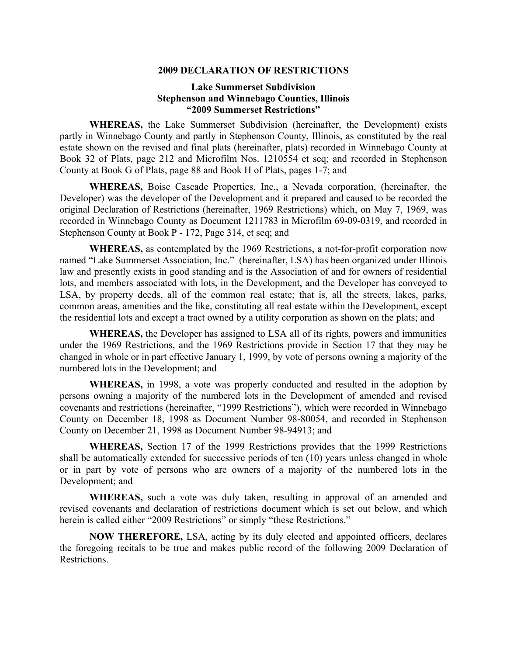#### **2009 DECLARATION OF RESTRICTIONS**

# **Lake Summerset Subdivision Stephenson and Winnebago Counties, Illinois "2009 Summerset Restrictions"**

**WHEREAS,** the Lake Summerset Subdivision (hereinafter, the Development) exists partly in Winnebago County and partly in Stephenson County, Illinois, as constituted by the real estate shown on the revised and final plats (hereinafter, plats) recorded in Winnebago County at Book 32 of Plats, page 212 and Microfilm Nos. 1210554 et seq; and recorded in Stephenson County at Book G of Plats, page 88 and Book H of Plats, pages 1-7; and

**WHEREAS,** Boise Cascade Properties, Inc., a Nevada corporation, (hereinafter, the Developer) was the developer of the Development and it prepared and caused to be recorded the original Declaration of Restrictions (hereinafter, 1969 Restrictions) which, on May 7, 1969, was recorded in Winnebago County as Document 1211783 in Microfilm 69-09-0319, and recorded in Stephenson County at Book P - 172, Page 314, et seq; and

**WHEREAS,** as contemplated by the 1969 Restrictions, a not-for-profit corporation now named "Lake Summerset Association, Inc." (hereinafter, LSA) has been organized under Illinois law and presently exists in good standing and is the Association of and for owners of residential lots, and members associated with lots, in the Development, and the Developer has conveyed to LSA, by property deeds, all of the common real estate; that is, all the streets, lakes, parks, common areas, amenities and the like, constituting all real estate within the Development, except the residential lots and except a tract owned by a utility corporation as shown on the plats; and

**WHEREAS,** the Developer has assigned to LSA all of its rights, powers and immunities under the 1969 Restrictions, and the 1969 Restrictions provide in Section 17 that they may be changed in whole or in part effective January 1, 1999, by vote of persons owning a majority of the numbered lots in the Development; and

**WHEREAS,** in 1998, a vote was properly conducted and resulted in the adoption by persons owning a majority of the numbered lots in the Development of amended and revised covenants and restrictions (hereinafter, "1999 Restrictions"), which were recorded in Winnebago County on December 18, 1998 as Document Number 98-80054, and recorded in Stephenson County on December 21, 1998 as Document Number 98-94913; and

**WHEREAS,** Section 17 of the 1999 Restrictions provides that the 1999 Restrictions shall be automatically extended for successive periods of ten (10) years unless changed in whole or in part by vote of persons who are owners of a majority of the numbered lots in the Development; and

**WHEREAS,** such a vote was duly taken, resulting in approval of an amended and revised covenants and declaration of restrictions document which is set out below, and which herein is called either "2009 Restrictions" or simply "these Restrictions."

**NOW THEREFORE,** LSA, acting by its duly elected and appointed officers, declares the foregoing recitals to be true and makes public record of the following 2009 Declaration of Restrictions.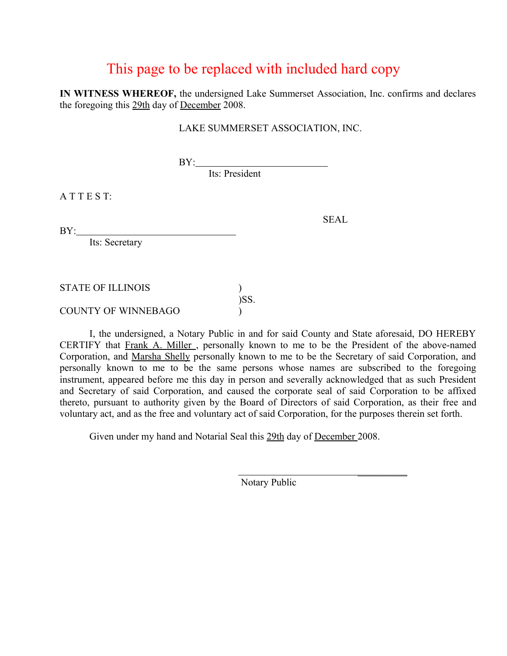# This page to be replaced with included hard copy

**IN WITNESS WHEREOF,** the undersigned Lake Summerset Association, Inc. confirms and declares the foregoing this 29th day of December 2008.

# LAKE SUMMERSET ASSOCIATION, INC.

**BY:** 

Its: President

A T T E S T:

BY:

Its: Secretary

STATE OF ILLINOIS )  $)$ SS.

COUNTY OF WINNEBAGO )

I, the undersigned, a Notary Public in and for said County and State aforesaid, DO HEREBY CERTIFY that Frank A. Miller , personally known to me to be the President of the above-named Corporation, and Marsha Shelly personally known to me to be the Secretary of said Corporation, and personally known to me to be the same persons whose names are subscribed to the foregoing instrument, appeared before me this day in person and severally acknowledged that as such President and Secretary of said Corporation, and caused the corporate seal of said Corporation to be affixed thereto, pursuant to authority given by the Board of Directors of said Corporation, as their free and voluntary act, and as the free and voluntary act of said Corporation, for the purposes therein set forth.

Given under my hand and Notarial Seal this 29th day of December 2008.

 $\frac{1}{2}$  , and the contract of the contract of the contract of the contract of the contract of the contract of the contract of the contract of the contract of the contract of the contract of the contract of the contract

Notary Public

SEAL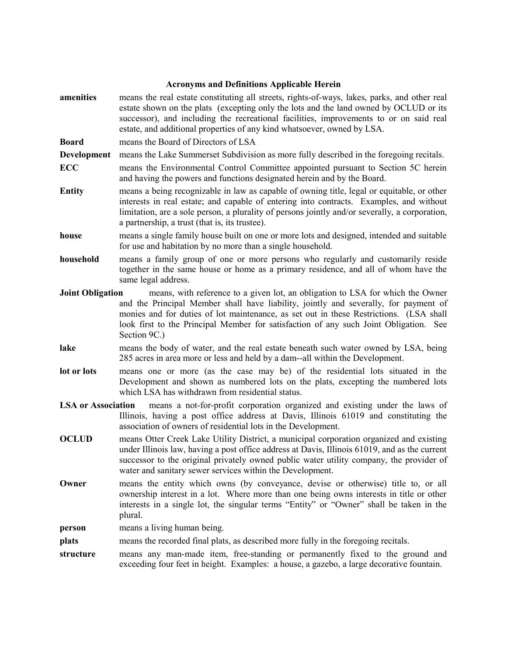#### **Acronyms and Definitions Applicable Herein**

**amenities** means the real estate constituting all streets, rights-of-ways, lakes, parks, and other real estate shown on the plats (excepting only the lots and the land owned by OCLUD or its successor), and including the recreational facilities, improvements to or on said real estate, and additional properties of any kind whatsoever, owned by LSA.

**Board** means the Board of Directors of LSA

**Development** means the Lake Summerset Subdivision as more fully described in the foregoing recitals.

- **ECC** means the Environmental Control Committee appointed pursuant to Section 5C herein and having the powers and functions designated herein and by the Board.
- **Entity** means a being recognizable in law as capable of owning title, legal or equitable, or other interests in real estate; and capable of entering into contracts. Examples, and without limitation, are a sole person, a plurality of persons jointly and/or severally, a corporation, a partnership, a trust (that is, its trustee).
- **house** means a single family house built on one or more lots and designed, intended and suitable for use and habitation by no more than a single household.
- **household** means a family group of one or more persons who regularly and customarily reside together in the same house or home as a primary residence, and all of whom have the same legal address.
- **Joint Obligation** means, with reference to a given lot, an obligation to LSA for which the Owner and the Principal Member shall have liability, jointly and severally, for payment of monies and for duties of lot maintenance, as set out in these Restrictions. (LSA shall look first to the Principal Member for satisfaction of any such Joint Obligation. See Section 9C.)
- **lake** means the body of water, and the real estate beneath such water owned by LSA, being 285 acres in area more or less and held by a dam--all within the Development.
- **lot or lots** means one or more (as the case may be) of the residential lots situated in the Development and shown as numbered lots on the plats, excepting the numbered lots which LSA has withdrawn from residential status.
- **LSA or Association** means a not-for-profit corporation organized and existing under the laws of Illinois, having a post office address at Davis, Illinois 61019 and constituting the association of owners of residential lots in the Development.
- **OCLUD** means Otter Creek Lake Utility District, a municipal corporation organized and existing under Illinois law, having a post office address at Davis, Illinois 61019, and as the current successor to the original privately owned public water utility company, the provider of water and sanitary sewer services within the Development.
- **Owner** means the entity which owns (by conveyance, devise or otherwise) title to, or all ownership interest in a lot. Where more than one being owns interests in title or other interests in a single lot, the singular terms "Entity" or "Owner" shall be taken in the plural.

**person** means a living human being.

- **plats** means the recorded final plats, as described more fully in the foregoing recitals.
- **structure** means any man-made item, free-standing or permanently fixed to the ground and exceeding four feet in height. Examples: a house, a gazebo, a large decorative fountain.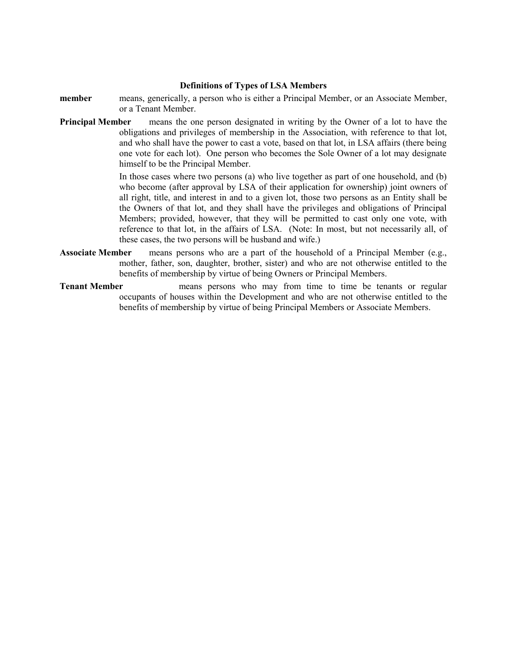#### **Definitions of Types of LSA Members**

- **member** means, generically, a person who is either a Principal Member, or an Associate Member, or a Tenant Member.
- **Principal Member** means the one person designated in writing by the Owner of a lot to have the obligations and privileges of membership in the Association, with reference to that lot, and who shall have the power to cast a vote, based on that lot, in LSA affairs (there being one vote for each lot). One person who becomes the Sole Owner of a lot may designate himself to be the Principal Member.

In those cases where two persons (a) who live together as part of one household, and (b) who become (after approval by LSA of their application for ownership) joint owners of all right, title, and interest in and to a given lot, those two persons as an Entity shall be the Owners of that lot, and they shall have the privileges and obligations of Principal Members; provided, however, that they will be permitted to cast only one vote, with reference to that lot, in the affairs of LSA. (Note: In most, but not necessarily all, of these cases, the two persons will be husband and wife.)

- **Associate Member** means persons who are a part of the household of a Principal Member (e.g., mother, father, son, daughter, brother, sister) and who are not otherwise entitled to the benefits of membership by virtue of being Owners or Principal Members.
- **Tenant Member** means persons who may from time to time be tenants or regular occupants of houses within the Development and who are not otherwise entitled to the benefits of membership by virtue of being Principal Members or Associate Members.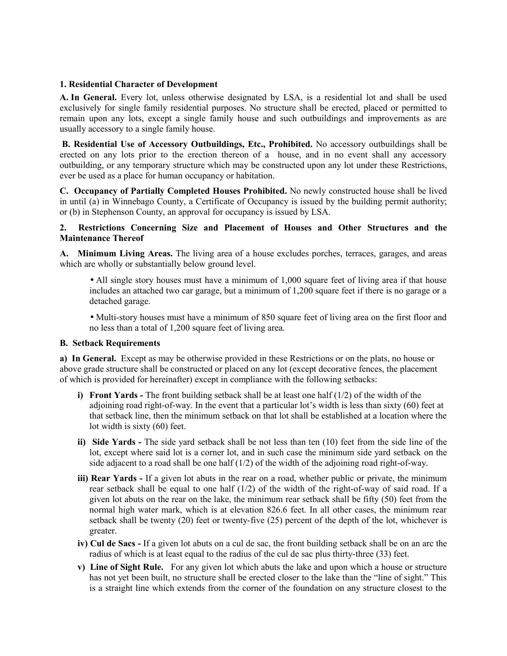#### **1. Residential Character of Development**

**A. In General.** Every lot, unless otherwise designated by LSA, is a residential lot and shall be used exclusively for single family residential purposes. No structure shall be erected, placed or permitted to remain upon any lots, except a single family house and such outbuildings and improvements as are usually accessory to a single family house.

**B. Residential Use of Accessory Outbuildings, Etc., Prohibited.** No accessory outbuildings shall be erected on any lots prior to the erection thereon of a house, and in no event shall any accessory outbuilding, or any temporary structure which may be constructed upon any lot under these Restrictions, ever be used as a place for human occupancy or habitation.

**C. Occupancy of Partially Completed Houses Prohibited.** No newly constructed house shall be lived in until (a) in Winnebago County, a Certificate of Occupancy is issued by the building permit authority; or (b) in Stephenson County, an approval for occupancy is issued by LSA.

## **2. Restrictions Concerning Size and Placement of Houses and Other Structures and the Maintenance Thereof**

**A. Minimum Living Areas.** The living area of a house excludes porches, terraces, garages, and areas which are wholly or substantially below ground level.

- All single story houses must have a minimum of 1,000 square feet of living area if that house includes an attached two car garage, but a minimum of 1,200 square feet if there is no garage or a detached garage.
- Multi-story houses must have a minimum of 850 square feet of living area on the first floor and no less than a total of 1,200 square feet of living area.

#### **B. Setback Requirements**

**a) In General.** Except as may be otherwise provided in these Restrictions or on the plats, no house or above grade structure shall be constructed or placed on any lot (except decorative fences, the placement of which is provided for hereinafter) except in compliance with the following setbacks:

- **i)** Front Yards The front building setback shall be at least one half (1/2) of the width of the adjoining road right-of-way. In the event that a particular lot's width is less than sixty (60) feet at that setback line, then the minimum setback on that lot shall be established at a location where the lot width is sixty (60) feet.
- **ii) Side Yards** The side yard setback shall be not less than ten (10) feet from the side line of the lot, except where said lot is a corner lot, and in such case the minimum side yard setback on the side adjacent to a road shall be one half  $(1/2)$  of the width of the adjoining road right-of-way.
- **iii) Rear Yards** If a given lot abuts in the rear on a road, whether public or private, the minimum rear setback shall be equal to one half (1/2) of the width of the right-of-way of said road. If a given lot abuts on the rear on the lake, the minimum rear setback shall be fifty (50) feet from the normal high water mark, which is at elevation 826.6 feet. In all other cases, the minimum rear setback shall be twenty (20) feet or twenty-five (25) percent of the depth of the lot, whichever is greater.
- **iv) Cul de Sacs** If a given lot abuts on a cul de sac, the front building setback shall be on an arc the radius of which is at least equal to the radius of the cul de sac plus thirty-three (33) feet.
- **v) Line of Sight Rule.** For any given lot which abuts the lake and upon which a house or structure has not yet been built, no structure shall be erected closer to the lake than the "line of sight." This is a straight line which extends from the corner of the foundation on any structure closest to the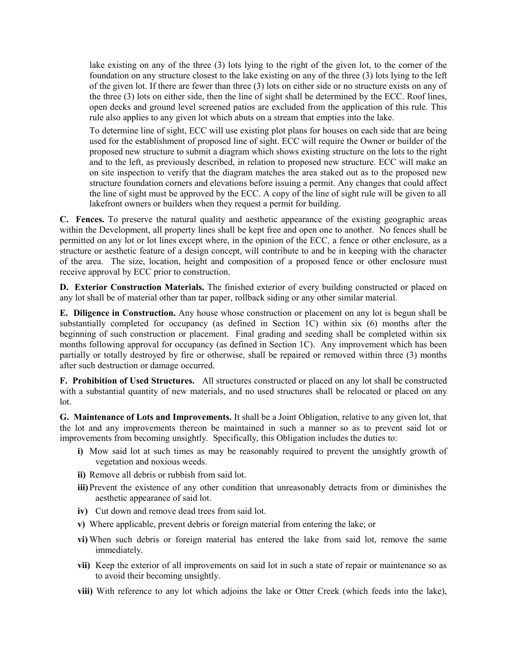lake existing on any of the three (3) lots lying to the right of the given lot, to the corner of the foundation on any structure closest to the lake existing on any of the three (3) lots lying to the left of the given lot. If there are fewer than three (3) lots on either side or no structure exists on any of the three (3) lots on either side, then the line of sight shall be determined by the ECC. Roof lines, open decks and ground level screened patios are excluded from the application of this rule. This rule also applies to any given lot which abuts on a stream that empties into the lake.

To determine line of sight, ECC will use existing plot plans for houses on each side that are being used for the establishment of proposed line of sight. ECC will require the Owner or builder of the proposed new structure to submit a diagram which shows existing structure on the lots to the right and to the left, as previously described, in relation to proposed new structure. ECC will make an on site inspection to verify that the diagram matches the area staked out as to the proposed new structure foundation corners and elevations before issuing a permit. Any changes that could affect the line of sight must be approved by the ECC. A copy of the line of sight rule will be given to all lakefront owners or builders when they request a permit for building.

**C. Fences.** To preserve the natural quality and aesthetic appearance of the existing geographic areas within the Development, all property lines shall be kept free and open one to another. No fences shall be permitted on any lot or lot lines except where, in the opinion of the ECC*,* a fence or other enclosure, as a structure or aesthetic feature of a design concept, will contribute to and be in keeping with the character of the area. The size, location, height and composition of a proposed fence or other enclosure must receive approval by ECC prior to construction.

**D. Exterior Construction Materials.** The finished exterior of every building constructed or placed on any lot shall be of material other than tar paper, rollback siding or any other similar material.

**E. Diligence in Construction.** Any house whose construction or placement on any lot is begun shall be substantially completed for occupancy (as defined in Section 1C) within six (6) months after the beginning of such construction or placement. Final grading and seeding shall be completed within six months following approval for occupancy (as defined in Section 1C). Any improvement which has been partially or totally destroyed by fire or otherwise, shall be repaired or removed within three (3) months after such destruction or damage occurred.

**F. Prohibition of Used Structures.** All structures constructed or placed on any lot shall be constructed with a substantial quantity of new materials, and no used structures shall be relocated or placed on any lot.

**G. Maintenance of Lots and Improvements.** It shall be a Joint Obligation, relative to any given lot, that the lot and any improvements thereon be maintained in such a manner so as to prevent said lot or improvements from becoming unsightly. Specifically, this Obligation includes the duties to:

- **i)** Mow said lot at such times as may be reasonably required to prevent the unsightly growth of vegetation and noxious weeds.
- **ii)** Remove all debris or rubbish from said lot.
- **iii)** Prevent the existence of any other condition that unreasonably detracts from or diminishes the aesthetic appearance of said lot.
- **iv)** Cut down and remove dead trees from said lot.
- **v)** Where applicable, prevent debris or foreign material from entering the lake; or
- **vi)** When such debris or foreign material has entered the lake from said lot, remove the same immediately.
- **vii)** Keep the exterior of all improvements on said lot in such a state of repair or maintenance so as to avoid their becoming unsightly.
- **viii)** With reference to any lot which adjoins the lake or Otter Creek (which feeds into the lake),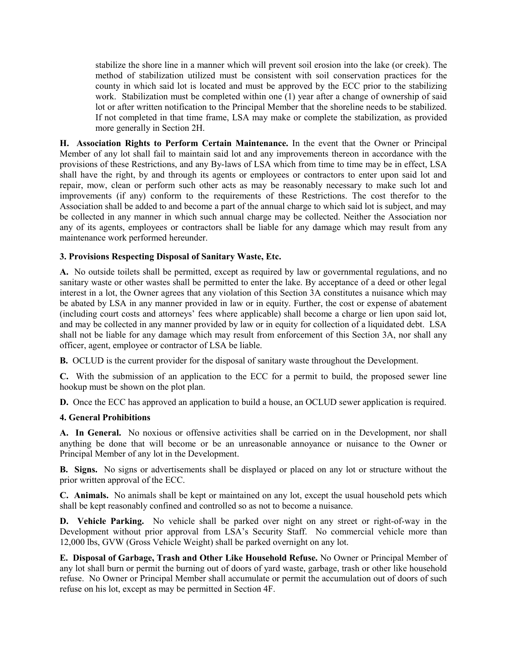stabilize the shore line in a manner which will prevent soil erosion into the lake (or creek). The method of stabilization utilized must be consistent with soil conservation practices for the county in which said lot is located and must be approved by the ECC prior to the stabilizing work. Stabilization must be completed within one (1) year after a change of ownership of said lot or after written notification to the Principal Member that the shoreline needs to be stabilized. If not completed in that time frame, LSA may make or complete the stabilization, as provided more generally in Section 2H.

**H. Association Rights to Perform Certain Maintenance.** In the event that the Owner or Principal Member of any lot shall fail to maintain said lot and any improvements thereon in accordance with the provisions of these Restrictions, and any By-laws of LSA which from time to time may be in effect, LSA shall have the right, by and through its agents or employees or contractors to enter upon said lot and repair, mow, clean or perform such other acts as may be reasonably necessary to make such lot and improvements (if any) conform to the requirements of these Restrictions. The cost therefor to the Association shall be added to and become a part of the annual charge to which said lot is subject, and may be collected in any manner in which such annual charge may be collected. Neither the Association nor any of its agents, employees or contractors shall be liable for any damage which may result from any maintenance work performed hereunder.

## **3. Provisions Respecting Disposal of Sanitary Waste, Etc.**

**A.** No outside toilets shall be permitted, except as required by law or governmental regulations, and no sanitary waste or other wastes shall be permitted to enter the lake. By acceptance of a deed or other legal interest in a lot, the Owner agrees that any violation of this Section 3A constitutes a nuisance which may be abated by LSA in any manner provided in law or in equity. Further, the cost or expense of abatement (including court costs and attorneys' fees where applicable) shall become a charge or lien upon said lot, and may be collected in any manner provided by law or in equity for collection of a liquidated debt. LSA shall not be liable for any damage which may result from enforcement of this Section 3A, nor shall any officer, agent, employee or contractor of LSA be liable.

**B.** OCLUD is the current provider for the disposal of sanitary waste throughout the Development.

**C.** With the submission of an application to the ECC for a permit to build, the proposed sewer line hookup must be shown on the plot plan.

**D.** Once the ECC has approved an application to build a house, an OCLUD sewer application is required.

#### **4. General Prohibitions**

**A. In General.** No noxious or offensive activities shall be carried on in the Development, nor shall anything be done that will become or be an unreasonable annoyance or nuisance to the Owner or Principal Member of any lot in the Development.

**B. Signs.** No signs or advertisements shall be displayed or placed on any lot or structure without the prior written approval of the ECC.

**C. Animals.** No animals shall be kept or maintained on any lot, except the usual household pets which shall be kept reasonably confined and controlled so as not to become a nuisance.

**D. Vehicle Parking.** No vehicle shall be parked over night on any street or right-of-way in the Development without prior approval from LSA's Security Staff. No commercial vehicle more than 12,000 lbs, GVW (Gross Vehicle Weight) shall be parked overnight on any lot.

**E. Disposal of Garbage, Trash and Other Like Household Refuse.** No Owner or Principal Member of any lot shall burn or permit the burning out of doors of yard waste, garbage, trash or other like household refuse. No Owner or Principal Member shall accumulate or permit the accumulation out of doors of such refuse on his lot, except as may be permitted in Section 4F.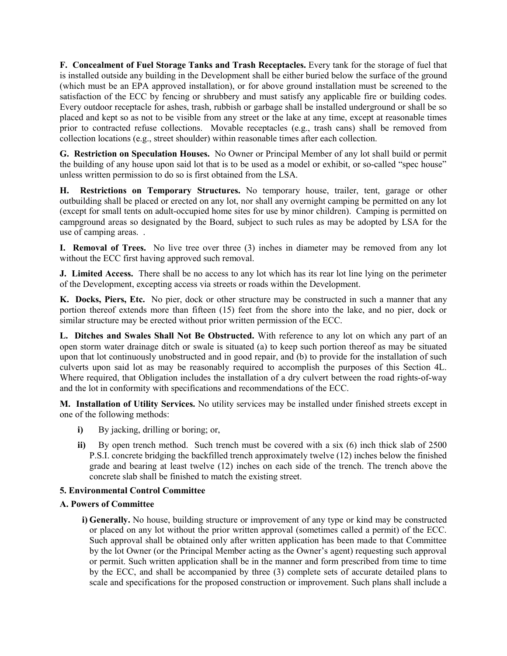**F. Concealment of Fuel Storage Tanks and Trash Receptacles.** Every tank for the storage of fuel that is installed outside any building in the Development shall be either buried below the surface of the ground (which must be an EPA approved installation), or for above ground installation must be screened to the satisfaction of the ECC by fencing or shrubbery and must satisfy any applicable fire or building codes. Every outdoor receptacle for ashes, trash, rubbish or garbage shall be installed underground or shall be so placed and kept so as not to be visible from any street or the lake at any time, except at reasonable times prior to contracted refuse collections. Movable receptacles (e.g., trash cans) shall be removed from collection locations (e.g., street shoulder) within reasonable times after each collection.

**G. Restriction on Speculation Houses.** No Owner or Principal Member of any lot shall build or permit the building of any house upon said lot that is to be used as a model or exhibit, or so-called "spec house" unless written permission to do so is first obtained from the LSA.

**H. Restrictions on Temporary Structures.** No temporary house, trailer, tent, garage or other outbuilding shall be placed or erected on any lot, nor shall any overnight camping be permitted on any lot (except for small tents on adult-occupied home sites for use by minor children). Camping is permitted on campground areas so designated by the Board, subject to such rules as may be adopted by LSA for the use of camping areas. .

**I. Removal of Trees.** No live tree over three (3) inches in diameter may be removed from any lot without the ECC first having approved such removal.

**J. Limited Access.** There shall be no access to any lot which has its rear lot line lying on the perimeter of the Development, excepting access via streets or roads within the Development.

**K. Docks, Piers, Etc.** No pier, dock or other structure may be constructed in such a manner that any portion thereof extends more than fifteen (15) feet from the shore into the lake, and no pier, dock or similar structure may be erected without prior written permission of the ECC.

**L. Ditches and Swales Shall Not Be Obstructed.** With reference to any lot on which any part of an open storm water drainage ditch or swale is situated (a) to keep such portion thereof as may be situated upon that lot continuously unobstructed and in good repair, and (b) to provide for the installation of such culverts upon said lot as may be reasonably required to accomplish the purposes of this Section 4L. Where required, that Obligation includes the installation of a dry culvert between the road rights-of-way and the lot in conformity with specifications and recommendations of the ECC.

**M. Installation of Utility Services.** No utility services may be installed under finished streets except in one of the following methods:

- **i)** By jacking, drilling or boring; or,
- **ii)** By open trench method. Such trench must be covered with a six (6) inch thick slab of 2500 P.S.I. concrete bridging the backfilled trench approximately twelve (12) inches below the finished grade and bearing at least twelve (12) inches on each side of the trench. The trench above the concrete slab shall be finished to match the existing street.

#### **5. Environmental Control Committee**

#### **A. Powers of Committee**

**i) Generally.** No house, building structure or improvement of any type or kind may be constructed or placed on any lot without the prior written approval (sometimes called a permit) of the ECC. Such approval shall be obtained only after written application has been made to that Committee by the lot Owner (or the Principal Member acting as the Owner's agent) requesting such approval or permit. Such written application shall be in the manner and form prescribed from time to time by the ECC, and shall be accompanied by three (3) complete sets of accurate detailed plans to scale and specifications for the proposed construction or improvement. Such plans shall include a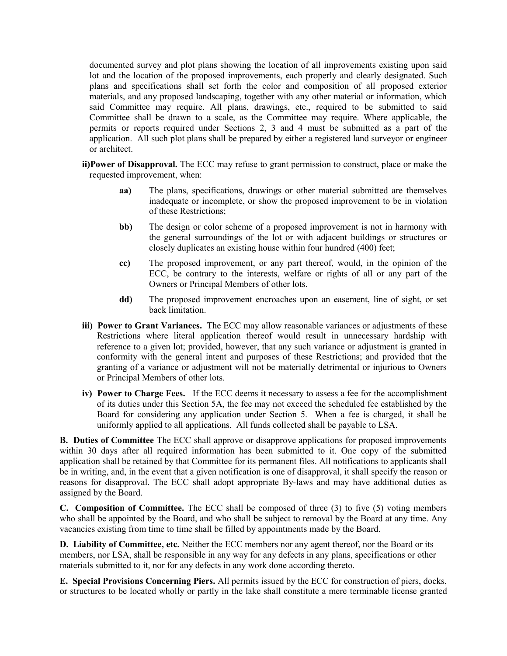documented survey and plot plans showing the location of all improvements existing upon said lot and the location of the proposed improvements, each properly and clearly designated. Such plans and specifications shall set forth the color and composition of all proposed exterior materials, and any proposed landscaping, together with any other material or information, which said Committee may require. All plans, drawings, etc., required to be submitted to said Committee shall be drawn to a scale, as the Committee may require. Where applicable, the permits or reports required under Sections 2, 3 and 4 must be submitted as a part of the application. All such plot plans shall be prepared by either a registered land surveyor or engineer or architect.

- **ii)Power of Disapproval.** The ECC may refuse to grant permission to construct, place or make the requested improvement, when:
	- **aa)** The plans, specifications, drawings or other material submitted are themselves inadequate or incomplete, or show the proposed improvement to be in violation of these Restrictions;
	- **bb)** The design or color scheme of a proposed improvement is not in harmony with the general surroundings of the lot or with adjacent buildings or structures or closely duplicates an existing house within four hundred (400) feet;
	- **cc)** The proposed improvement, or any part thereof, would, in the opinion of the ECC, be contrary to the interests, welfare or rights of all or any part of the Owners or Principal Members of other lots.
	- **dd)** The proposed improvement encroaches upon an easement, line of sight, or set back limitation.
- **iii) Power to Grant Variances.** The ECC may allow reasonable variances or adjustments of these Restrictions where literal application thereof would result in unnecessary hardship with reference to a given lot; provided, however, that any such variance or adjustment is granted in conformity with the general intent and purposes of these Restrictions; and provided that the granting of a variance or adjustment will not be materially detrimental or injurious to Owners or Principal Members of other lots.
- **iv) Power to Charge Fees.** If the ECC deems it necessary to assess a fee for the accomplishment of its duties under this Section 5A, the fee may not exceed the scheduled fee established by the Board for considering any application under Section 5. When a fee is charged, it shall be uniformly applied to all applications. All funds collected shall be payable to LSA.

**B. Duties of Committee** The ECC shall approve or disapprove applications for proposed improvements within 30 days after all required information has been submitted to it. One copy of the submitted application shall be retained by that Committee for its permanent files. All notifications to applicants shall be in writing, and, in the event that a given notification is one of disapproval, it shall specify the reason or reasons for disapproval. The ECC shall adopt appropriate By-laws and may have additional duties as assigned by the Board.

**C. Composition of Committee.** The ECC shall be composed of three (3) to five (5) voting members who shall be appointed by the Board, and who shall be subject to removal by the Board at any time. Any vacancies existing from time to time shall be filled by appointments made by the Board.

**D. Liability of Committee, etc.** Neither the ECC members nor any agent thereof, nor the Board or its members, nor LSA, shall be responsible in any way for any defects in any plans, specifications or other materials submitted to it, nor for any defects in any work done according thereto.

**E. Special Provisions Concerning Piers.** All permits issued by the ECC for construction of piers, docks, or structures to be located wholly or partly in the lake shall constitute a mere terminable license granted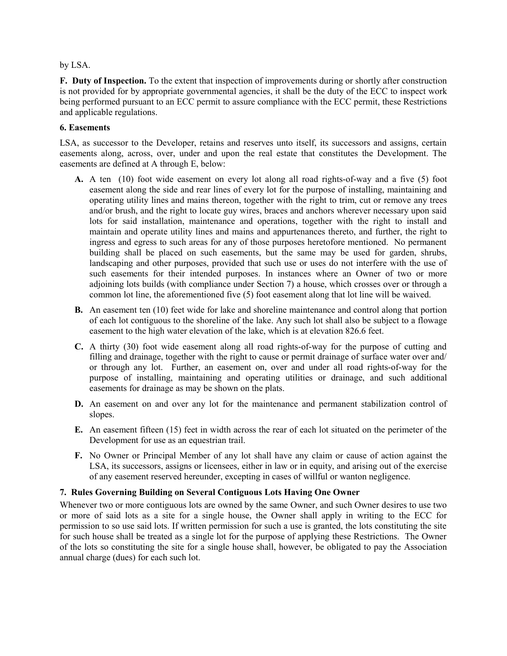by LSA.

**F. Duty of Inspection.** To the extent that inspection of improvements during or shortly after construction is not provided for by appropriate governmental agencies, it shall be the duty of the ECC to inspect work being performed pursuant to an ECC permit to assure compliance with the ECC permit, these Restrictions and applicable regulations.

#### **6. Easements**

LSA, as successor to the Developer, retains and reserves unto itself, its successors and assigns, certain easements along, across, over, under and upon the real estate that constitutes the Development. The easements are defined at A through E, below:

- **A.** A ten (10) foot wide easement on every lot along all road rights-of-way and a five (5) foot easement along the side and rear lines of every lot for the purpose of installing, maintaining and operating utility lines and mains thereon, together with the right to trim, cut or remove any trees and/or brush, and the right to locate guy wires, braces and anchors wherever necessary upon said lots for said installation, maintenance and operations, together with the right to install and maintain and operate utility lines and mains and appurtenances thereto, and further, the right to ingress and egress to such areas for any of those purposes heretofore mentioned. No permanent building shall be placed on such easements, but the same may be used for garden, shrubs, landscaping and other purposes, provided that such use or uses do not interfere with the use of such easements for their intended purposes. In instances where an Owner of two or more adjoining lots builds (with compliance under Section 7) a house, which crosses over or through a common lot line, the aforementioned five (5) foot easement along that lot line will be waived.
- **B.** An easement ten (10) feet wide for lake and shoreline maintenance and control along that portion of each lot contiguous to the shoreline of the lake. Any such lot shall also be subject to a flowage easement to the high water elevation of the lake, which is at elevation 826.6 feet.
- **C.** A thirty (30) foot wide easement along all road rights-of-way for the purpose of cutting and filling and drainage, together with the right to cause or permit drainage of surface water over and/ or through any lot. Further, an easement on, over and under all road rights-of-way for the purpose of installing, maintaining and operating utilities or drainage, and such additional easements for drainage as may be shown on the plats.
- **D.** An easement on and over any lot for the maintenance and permanent stabilization control of slopes.
- **E.** An easement fifteen (15) feet in width across the rear of each lot situated on the perimeter of the Development for use as an equestrian trail.
- **F.** No Owner or Principal Member of any lot shall have any claim or cause of action against the LSA, its successors, assigns or licensees, either in law or in equity, and arising out of the exercise of any easement reserved hereunder, excepting in cases of willful or wanton negligence.

# **7. Rules Governing Building on Several Contiguous Lots Having One Owner**

Whenever two or more contiguous lots are owned by the same Owner, and such Owner desires to use two or more of said lots as a site for a single house, the Owner shall apply in writing to the ECC for permission to so use said lots. If written permission for such a use is granted, the lots constituting the site for such house shall be treated as a single lot for the purpose of applying these Restrictions. The Owner of the lots so constituting the site for a single house shall, however, be obligated to pay the Association annual charge (dues) for each such lot.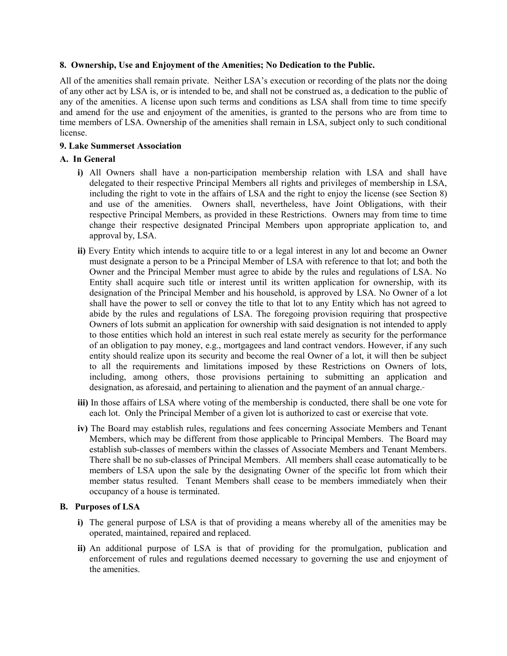#### **8. Ownership, Use and Enjoyment of the Amenities; No Dedication to the Public.**

All of the amenities shall remain private. Neither LSA's execution or recording of the plats nor the doing of any other act by LSA is, or is intended to be, and shall not be construed as, a dedication to the public of any of the amenities. A license upon such terms and conditions as LSA shall from time to time specify and amend for the use and enjoyment of the amenities, is granted to the persons who are from time to time members of LSA. Ownership of the amenities shall remain in LSA, subject only to such conditional license.

#### **9. Lake Summerset Association**

## **A. In General**

- **i)** All Owners shall have a non-participation membership relation with LSA and shall have delegated to their respective Principal Members all rights and privileges of membership in LSA, including the right to vote in the affairs of LSA and the right to enjoy the license (see Section 8) and use of the amenities. Owners shall, nevertheless, have Joint Obligations, with their respective Principal Members, as provided in these Restrictions. Owners may from time to time change their respective designated Principal Members upon appropriate application to, and approval by, LSA.
- **ii)** Every Entity which intends to acquire title to or a legal interest in any lot and become an Owner must designate a person to be a Principal Member of LSA with reference to that lot; and both the Owner and the Principal Member must agree to abide by the rules and regulations of LSA. No Entity shall acquire such title or interest until its written application for ownership, with its designation of the Principal Member and his household, is approved by LSA. No Owner of a lot shall have the power to sell or convey the title to that lot to any Entity which has not agreed to abide by the rules and regulations of LSA. The foregoing provision requiring that prospective Owners of lots submit an application for ownership with said designation is not intended to apply to those entities which hold an interest in such real estate merely as security for the performance of an obligation to pay money, e.g., mortgagees and land contract vendors. However, if any such entity should realize upon its security and become the real Owner of a lot, it will then be subject to all the requirements and limitations imposed by these Restrictions on Owners of lots, including, among others, those provisions pertaining to submitting an application and designation, as aforesaid, and pertaining to alienation and the payment of an annual charge.
- **iii)** In those affairs of LSA where voting of the membership is conducted, there shall be one vote for each lot. Only the Principal Member of a given lot is authorized to cast or exercise that vote.
- **iv)** The Board may establish rules, regulations and fees concerning Associate Members and Tenant Members, which may be different from those applicable to Principal Members. The Board may establish sub-classes of members within the classes of Associate Members and Tenant Members. There shall be no sub-classes of Principal Members. All members shall cease automatically to be members of LSA upon the sale by the designating Owner of the specific lot from which their member status resulted. Tenant Members shall cease to be members immediately when their occupancy of a house is terminated.

#### **B. Purposes of LSA**

- **i)** The general purpose of LSA is that of providing a means whereby all of the amenities may be operated, maintained, repaired and replaced.
- **ii)** An additional purpose of LSA is that of providing for the promulgation, publication and enforcement of rules and regulations deemed necessary to governing the use and enjoyment of the amenities.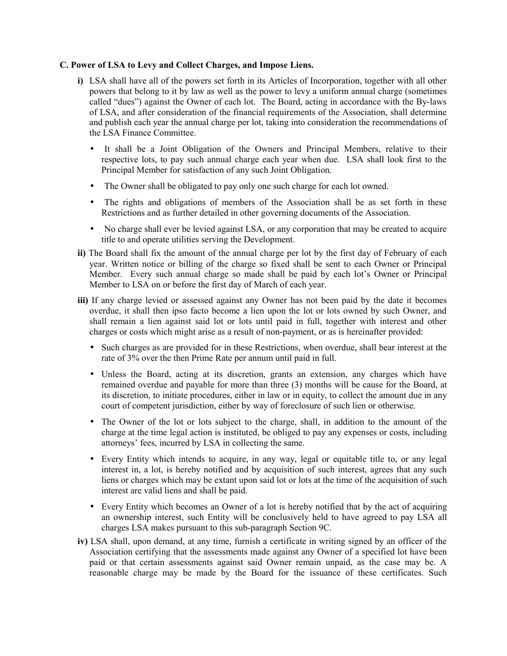#### **C. Power of LSA to Levy and Collect Charges, and Impose Liens.**

- **i)** LSA shall have all of the powers set forth in its Articles of Incorporation, together with all other powers that belong to it by law as well as the power to levy a uniform annual charge (sometimes called "dues") against the Owner of each lot. The Board, acting in accordance with the By-laws of LSA, and after consideration of the financial requirements of the Association, shall determine and publish each year the annual charge per lot, taking into consideration the recommendations of the LSA Finance Committee.
	- It shall be a Joint Obligation of the Owners and Principal Members, relative to their respective lots, to pay such annual charge each year when due. LSA shall look first to the Principal Member for satisfaction of any such Joint Obligation.
	- The Owner shall be obligated to pay only one such charge for each lot owned.
	- The rights and obligations of members of the Association shall be as set forth in these Restrictions and as further detailed in other governing documents of the Association.
	- No charge shall ever be levied against LSA, or any corporation that may be created to acquire title to and operate utilities serving the Development.
- **ii)** The Board shall fix the amount of the annual charge per lot by the first day of February of each year. Written notice or billing of the charge so fixed shall be sent to each Owner or Principal Member. Every such annual charge so made shall be paid by each lot's Owner or Principal Member to LSA on or before the first day of March of each year.
- **iii)** If any charge levied or assessed against any Owner has not been paid by the date it becomes overdue, it shall then ipso facto become a lien upon the lot or lots owned by such Owner, and shall remain a lien against said lot or lots until paid in full, together with interest and other charges or costs which might arise as a result of non-payment, or as is hereinafter provided:
	- Such charges as are provided for in these Restrictions, when overdue, shall bear interest at the rate of 3% over the then Prime Rate per annum until paid in full.
	- Unless the Board, acting at its discretion, grants an extension, any charges which have remained overdue and payable for more than three (3) months will be cause for the Board, at its discretion, to initiate procedures, either in law or in equity, to collect the amount due in any court of competent jurisdiction, either by way of foreclosure of such lien or otherwise.
	- The Owner of the lot or lots subject to the charge, shall, in addition to the amount of the charge at the time legal action is instituted, be obliged to pay any expenses or costs, including attorneys' fees, incurred by LSA in collecting the same.
	- Every Entity which intends to acquire, in any way, legal or equitable title to, or any legal interest in, a lot, is hereby notified and by acquisition of such interest, agrees that any such liens or charges which may be extant upon said lot or lots at the time of the acquisition of such interest are valid liens and shall be paid.
	- Every Entity which becomes an Owner of a lot is hereby notified that by the act of acquiring an ownership interest, such Entity will be conclusively held to have agreed to pay LSA all charges LSA makes pursuant to this sub-paragraph Section 9C.
- **iv)** LSA shall, upon demand, at any time, furnish a certificate in writing signed by an officer of the Association certifying that the assessments made against any Owner of a specified lot have been paid or that certain assessments against said Owner remain unpaid, as the case may be. A reasonable charge may be made by the Board for the issuance of these certificates. Such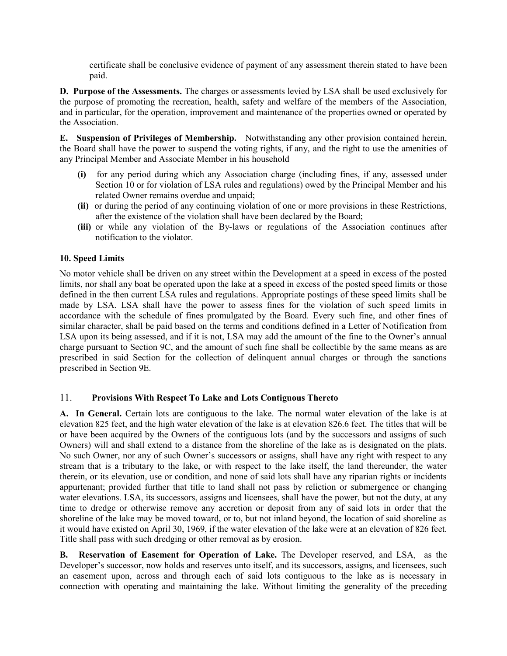certificate shall be conclusive evidence of payment of any assessment therein stated to have been paid.

**D. Purpose of the Assessments.** The charges or assessments levied by LSA shall be used exclusively for the purpose of promoting the recreation, health, safety and welfare of the members of the Association, and in particular, for the operation, improvement and maintenance of the properties owned or operated by the Association.

**E. Suspension of Privileges of Membership.** Notwithstanding any other provision contained herein, the Board shall have the power to suspend the voting rights, if any, and the right to use the amenities of any Principal Member and Associate Member in his household

- **(i)** for any period during which any Association charge (including fines, if any, assessed under Section 10 or for violation of LSA rules and regulations) owed by the Principal Member and his related Owner remains overdue and unpaid;
- **(ii)** or during the period of any continuing violation of one or more provisions in these Restrictions, after the existence of the violation shall have been declared by the Board;
- **(iii)** or while any violation of the By-laws or regulations of the Association continues after notification to the violator.

## **10. Speed Limits**

No motor vehicle shall be driven on any street within the Development at a speed in excess of the posted limits, nor shall any boat be operated upon the lake at a speed in excess of the posted speed limits or those defined in the then current LSA rules and regulations. Appropriate postings of these speed limits shall be made by LSA. LSA shall have the power to assess fines for the violation of such speed limits in accordance with the schedule of fines promulgated by the Board*.* Every such fine, and other fines of similar character, shall be paid based on the terms and conditions defined in a Letter of Notification from LSA upon its being assessed, and if it is not, LSA may add the amount of the fine to the Owner's annual charge pursuant to Section 9C, and the amount of such fine shall be collectible by the same means as are prescribed in said Section for the collection of delinquent annual charges or through the sanctions prescribed in Section 9E.

#### 11. **Provisions With Respect To Lake and Lots Contiguous Thereto**

**A. In General.** Certain lots are contiguous to the lake. The normal water elevation of the lake is at elevation 825 feet, and the high water elevation of the lake is at elevation 826.6 feet. The titles that will be or have been acquired by the Owners of the contiguous lots (and by the successors and assigns of such Owners) will and shall extend to a distance from the shoreline of the lake as is designated on the plats. No such Owner, nor any of such Owner's successors or assigns, shall have any right with respect to any stream that is a tributary to the lake, or with respect to the lake itself, the land thereunder, the water therein, or its elevation, use or condition, and none of said lots shall have any riparian rights or incidents appurtenant; provided further that title to land shall not pass by reliction or submergence or changing water elevations. LSA, its successors, assigns and licensees, shall have the power, but not the duty, at any time to dredge or otherwise remove any accretion or deposit from any of said lots in order that the shoreline of the lake may be moved toward, or to, but not inland beyond, the location of said shoreline as it would have existed on April 30, 1969, if the water elevation of the lake were at an elevation of 826 feet. Title shall pass with such dredging or other removal as by erosion.

**B. Reservation of Easement for Operation of Lake.** The Developer reserved, and LSA, as the Developer's successor, now holds and reserves unto itself, and its successors, assigns, and licensees, such an easement upon, across and through each of said lots contiguous to the lake as is necessary in connection with operating and maintaining the lake. Without limiting the generality of the preceding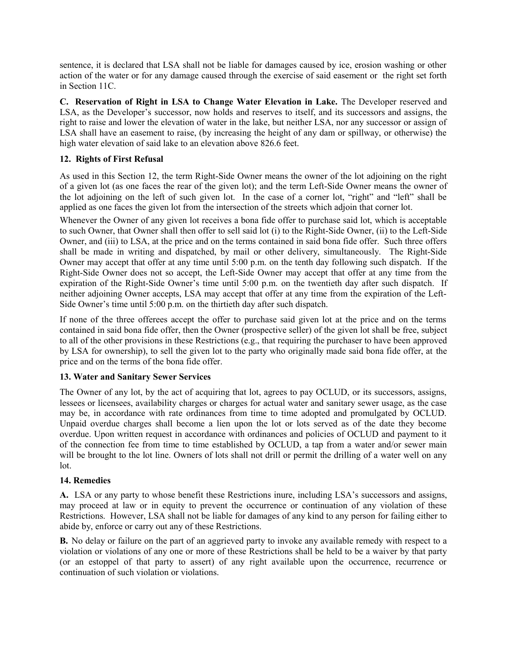sentence, it is declared that LSA shall not be liable for damages caused by ice, erosion washing or other action of the water or for any damage caused through the exercise of said easement or the right set forth in Section 11C.

**C. Reservation of Right in LSA to Change Water Elevation in Lake.** The Developer reserved and LSA, as the Developer's successor, now holds and reserves to itself, and its successors and assigns, the right to raise and lower the elevation of water in the lake, but neither LSA, nor any successor or assign of LSA shall have an easement to raise, (by increasing the height of any dam or spillway, or otherwise) the high water elevation of said lake to an elevation above 826.6 feet.

# **12. Rights of First Refusal**

As used in this Section 12, the term Right-Side Owner means the owner of the lot adjoining on the right of a given lot (as one faces the rear of the given lot); and the term Left-Side Owner means the owner of the lot adjoining on the left of such given lot. In the case of a corner lot, "right" and "left" shall be applied as one faces the given lot from the intersection of the streets which adjoin that corner lot.

Whenever the Owner of any given lot receives a bona fide offer to purchase said lot, which is acceptable to such Owner, that Owner shall then offer to sell said lot (i) to the Right-Side Owner, (ii) to the Left-Side Owner, and (iii) to LSA, at the price and on the terms contained in said bona fide offer. Such three offers shall be made in writing and dispatched, by mail or other delivery, simultaneously. The Right-Side Owner may accept that offer at any time until 5:00 p.m. on the tenth day following such dispatch. If the Right-Side Owner does not so accept, the Left-Side Owner may accept that offer at any time from the expiration of the Right-Side Owner's time until 5:00 p.m. on the twentieth day after such dispatch. If neither adjoining Owner accepts, LSA may accept that offer at any time from the expiration of the Left-Side Owner's time until 5:00 p.m. on the thirtieth day after such dispatch.

If none of the three offerees accept the offer to purchase said given lot at the price and on the terms contained in said bona fide offer, then the Owner (prospective seller) of the given lot shall be free, subject to all of the other provisions in these Restrictions (e.g., that requiring the purchaser to have been approved by LSA for ownership), to sell the given lot to the party who originally made said bona fide offer, at the price and on the terms of the bona fide offer.

# **13. Water and Sanitary Sewer Services**

The Owner of any lot, by the act of acquiring that lot, agrees to pay OCLUD, or its successors, assigns, lessees or licensees, availability charges or charges for actual water and sanitary sewer usage, as the case may be, in accordance with rate ordinances from time to time adopted and promulgated by OCLUD. Unpaid overdue charges shall become a lien upon the lot or lots served as of the date they become overdue. Upon written request in accordance with ordinances and policies of OCLUD and payment to it of the connection fee from time to time established by OCLUD, a tap from a water and/or sewer main will be brought to the lot line. Owners of lots shall not drill or permit the drilling of a water well on any lot.

# **14. Remedies**

**A.** LSA or any party to whose benefit these Restrictions inure, including LSA's successors and assigns, may proceed at law or in equity to prevent the occurrence or continuation of any violation of these Restrictions. However, LSA shall not be liable for damages of any kind to any person for failing either to abide by, enforce or carry out any of these Restrictions.

**B.** No delay or failure on the part of an aggrieved party to invoke any available remedy with respect to a violation or violations of any one or more of these Restrictions shall be held to be a waiver by that party (or an estoppel of that party to assert) of any right available upon the occurrence, recurrence or continuation of such violation or violations.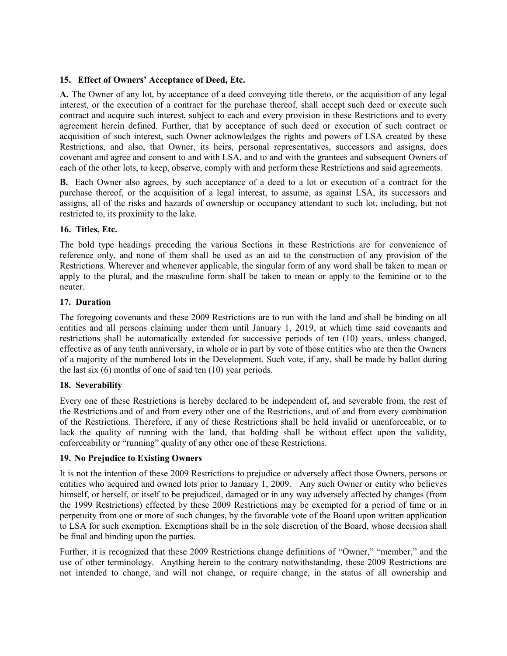# **15. Effect of Owners' Acceptance of Deed, Etc.**

**A.** The Owner of any lot, by acceptance of a deed conveying title thereto, or the acquisition of any legal interest, or the execution of a contract for the purchase thereof, shall accept such deed or execute such contract and acquire such interest, subject to each and every provision in these Restrictions and to every agreement herein defined. Further, that by acceptance of such deed or execution of such contract or acquisition of such interest, such Owner acknowledges the rights and powers of LSA created by these Restrictions, and also, that Owner, its heirs, personal representatives, successors and assigns, does covenant and agree and consent to and with LSA, and to and with the grantees and subsequent Owners of each of the other lots, to keep, observe, comply with and perform these Restrictions and said agreements.

**B.** Each Owner also agrees, by such acceptance of a deed to a lot or execution of a contract for the purchase thereof, or the acquisition of a legal interest, to assume, as against LSA, its successors and assigns, all of the risks and hazards of ownership or occupancy attendant to such lot, including, but not restricted to, its proximity to the lake.

#### **16. Titles, Etc.**

The bold type headings preceding the various Sections in these Restrictions are for convenience of reference only, and none of them shall be used as an aid to the construction of any provision of the Restrictions. Wherever and whenever applicable, the singular form of any word shall be taken to mean or apply to the plural, and the masculine form shall be taken to mean or apply to the feminine or to the neuter.

#### **17. Duration**

The foregoing covenants and these 2009 Restrictions are to run with the land and shall be binding on all entities and all persons claiming under them until January 1, 2019, at which time said covenants and restrictions shall be automatically extended for successive periods of ten (10) years, unless changed, effective as of any tenth anniversary, in whole or in part by vote of those entities who are then the Owners of a majority of the numbered lots in the Development. Such vote, if any, shall be made by ballot during the last six (6) months of one of said ten (10) year periods.

#### **18. Severability**

Every one of these Restrictions is hereby declared to be independent of, and severable from, the rest of the Restrictions and of and from every other one of the Restrictions, and of and from every combination of the Restrictions. Therefore, if any of these Restrictions shall be held invalid or unenforceable, or to lack the quality of running with the land, that holding shall be without effect upon the validity, enforceability or "running" quality of any other one of these Restrictions.

#### **19. No Prejudice to Existing Owners**

It is not the intention of these 2009 Restrictions to prejudice or adversely affect those Owners, persons or entities who acquired and owned lots prior to January 1, 2009. Any such Owner or entity who believes himself, or herself, or itself to be prejudiced, damaged or in any way adversely affected by changes (from the 1999 Restrictions) effected by these 2009 Restrictions may be exempted for a period of time or in perpetuity from one or more of such changes, by the favorable vote of the Board upon written application to LSA for such exemption. Exemptions shall be in the sole discretion of the Board, whose decision shall be final and binding upon the parties.

Further, it is recognized that these 2009 Restrictions change definitions of "Owner," "member," and the use of other terminology. Anything herein to the contrary notwithstanding, these 2009 Restrictions are not intended to change, and will not change, or require change, in the status of all ownership and